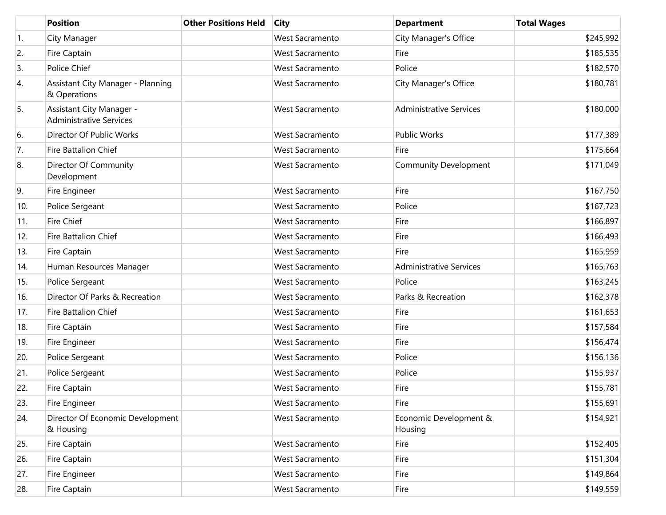|     | <b>Position</b>                                            | <b>Other Positions Held</b> | <b>City</b>            | <b>Department</b>                 | <b>Total Wages</b> |
|-----|------------------------------------------------------------|-----------------------------|------------------------|-----------------------------------|--------------------|
| 1.  | City Manager                                               |                             | <b>West Sacramento</b> | City Manager's Office             | \$245,992          |
| 2.  | Fire Captain                                               |                             | West Sacramento        | Fire                              | \$185,535          |
| 3.  | Police Chief                                               |                             | <b>West Sacramento</b> | Police                            | \$182,570          |
| 4.  | Assistant City Manager - Planning<br>& Operations          |                             | <b>West Sacramento</b> | City Manager's Office             | \$180,781          |
| 5.  | Assistant City Manager -<br><b>Administrative Services</b> |                             | West Sacramento        | <b>Administrative Services</b>    | \$180,000          |
| 6.  | Director Of Public Works                                   |                             | <b>West Sacramento</b> | <b>Public Works</b>               | \$177,389          |
| 7.  | Fire Battalion Chief                                       |                             | <b>West Sacramento</b> | Fire                              | \$175,664          |
| 8.  | Director Of Community<br>Development                       |                             | West Sacramento        | <b>Community Development</b>      | \$171,049          |
| 9.  | Fire Engineer                                              |                             | West Sacramento        | Fire                              | \$167,750          |
| 10. | Police Sergeant                                            |                             | West Sacramento        | Police                            | \$167,723          |
| 11. | Fire Chief                                                 |                             | <b>West Sacramento</b> | Fire                              | \$166,897          |
| 12. | Fire Battalion Chief                                       |                             | West Sacramento        | Fire                              | \$166,493          |
| 13. | Fire Captain                                               |                             | <b>West Sacramento</b> | Fire                              | \$165,959          |
| 14. | Human Resources Manager                                    |                             | West Sacramento        | <b>Administrative Services</b>    | \$165,763          |
| 15. | Police Sergeant                                            |                             | West Sacramento        | Police                            | \$163,245          |
| 16. | Director Of Parks & Recreation                             |                             | West Sacramento        | Parks & Recreation                | \$162,378          |
| 17. | <b>Fire Battalion Chief</b>                                |                             | <b>West Sacramento</b> | Fire                              | \$161,653          |
| 18. | Fire Captain                                               |                             | West Sacramento        | Fire                              | \$157,584          |
| 19. | Fire Engineer                                              |                             | West Sacramento        | Fire                              | \$156,474          |
| 20. | Police Sergeant                                            |                             | West Sacramento        | Police                            | \$156,136          |
| 21. | Police Sergeant                                            |                             | <b>West Sacramento</b> | Police                            | \$155,937          |
| 22. | Fire Captain                                               |                             | West Sacramento        | Fire                              | \$155,781          |
| 23. | Fire Engineer                                              |                             | West Sacramento        | Fire                              | \$155,691          |
| 24. | Director Of Economic Development<br>& Housing              |                             | West Sacramento        | Economic Development &<br>Housing | \$154,921          |
| 25. | Fire Captain                                               |                             | West Sacramento        | Fire                              | \$152,405          |
| 26. | Fire Captain                                               |                             | West Sacramento        | Fire                              | \$151,304          |
| 27. | Fire Engineer                                              |                             | West Sacramento        | Fire                              | \$149,864          |
| 28. | Fire Captain                                               |                             | West Sacramento        | Fire                              | \$149,559          |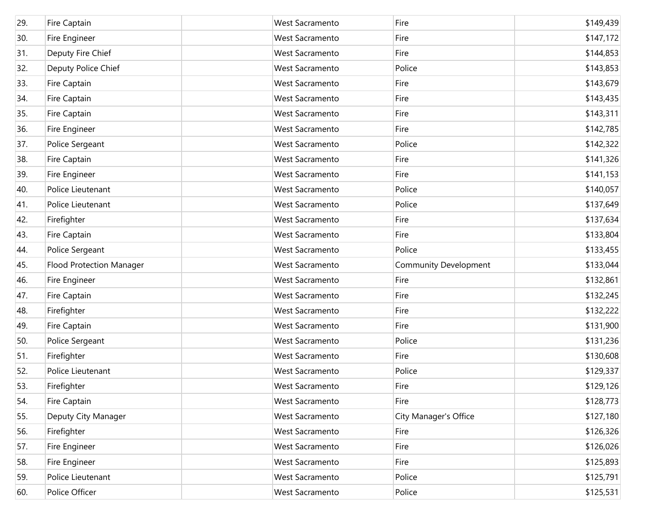| 29. | Fire Captain                    | <b>West Sacramento</b> | Fire                         | \$149,439 |
|-----|---------------------------------|------------------------|------------------------------|-----------|
| 30. | Fire Engineer                   | <b>West Sacramento</b> | Fire                         | \$147,172 |
| 31. | Deputy Fire Chief               | <b>West Sacramento</b> | Fire                         | \$144,853 |
| 32. | Deputy Police Chief             | <b>West Sacramento</b> | Police                       | \$143,853 |
| 33. | Fire Captain                    | <b>West Sacramento</b> | Fire                         | \$143,679 |
| 34. | Fire Captain                    | <b>West Sacramento</b> | Fire                         | \$143,435 |
| 35. | Fire Captain                    | <b>West Sacramento</b> | Fire                         | \$143,311 |
| 36. | Fire Engineer                   | <b>West Sacramento</b> | Fire                         | \$142,785 |
| 37. | Police Sergeant                 | <b>West Sacramento</b> | Police                       | \$142,322 |
| 38. | Fire Captain                    | <b>West Sacramento</b> | Fire                         | \$141,326 |
| 39. | Fire Engineer                   | <b>West Sacramento</b> | Fire                         | \$141,153 |
| 40. | Police Lieutenant               | <b>West Sacramento</b> | Police                       | \$140,057 |
| 41. | Police Lieutenant               | <b>West Sacramento</b> | Police                       | \$137,649 |
| 42. | Firefighter                     | <b>West Sacramento</b> | Fire                         | \$137,634 |
| 43. | Fire Captain                    | <b>West Sacramento</b> | Fire                         | \$133,804 |
| 44. | Police Sergeant                 | <b>West Sacramento</b> | Police                       | \$133,455 |
| 45. | <b>Flood Protection Manager</b> | <b>West Sacramento</b> | <b>Community Development</b> | \$133,044 |
| 46. | Fire Engineer                   | <b>West Sacramento</b> | Fire                         | \$132,861 |
| 47. | Fire Captain                    | <b>West Sacramento</b> | Fire                         | \$132,245 |
| 48. | Firefighter                     | <b>West Sacramento</b> | Fire                         | \$132,222 |
| 49. | Fire Captain                    | <b>West Sacramento</b> | Fire                         | \$131,900 |
| 50. | Police Sergeant                 | <b>West Sacramento</b> | Police                       | \$131,236 |
| 51. | Firefighter                     | <b>West Sacramento</b> | Fire                         | \$130,608 |
| 52. | Police Lieutenant               | <b>West Sacramento</b> | Police                       | \$129,337 |
| 53. | Firefighter                     | <b>West Sacramento</b> | Fire                         | \$129,126 |
| 54. | Fire Captain                    | West Sacramento        | Fire                         | \$128,773 |
| 55. | Deputy City Manager             | West Sacramento        | City Manager's Office        | \$127,180 |
| 56. | Firefighter                     | West Sacramento        | Fire                         | \$126,326 |
| 57. | Fire Engineer                   | West Sacramento        | Fire                         | \$126,026 |
| 58. | Fire Engineer                   | West Sacramento        | Fire                         | \$125,893 |
| 59. | Police Lieutenant               | West Sacramento        | Police                       | \$125,791 |
| 60. | Police Officer                  | West Sacramento        | Police                       | \$125,531 |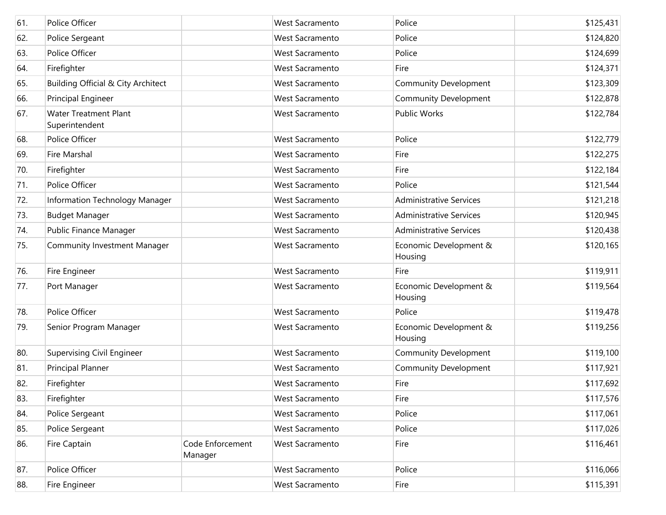| 61. | Police Officer                                 |                             | <b>West Sacramento</b> | Police                            | \$125,431 |
|-----|------------------------------------------------|-----------------------------|------------------------|-----------------------------------|-----------|
| 62. | Police Sergeant                                |                             | West Sacramento        | Police                            | \$124,820 |
| 63. | Police Officer                                 |                             | West Sacramento        | Police                            | \$124,699 |
| 64. | Firefighter                                    |                             | West Sacramento        | Fire                              | \$124,371 |
| 65. | Building Official & City Architect             |                             | West Sacramento        | <b>Community Development</b>      | \$123,309 |
| 66. | Principal Engineer                             |                             | West Sacramento        | <b>Community Development</b>      | \$122,878 |
| 67. | <b>Water Treatment Plant</b><br>Superintendent |                             | <b>West Sacramento</b> | <b>Public Works</b>               | \$122,784 |
| 68. | Police Officer                                 |                             | <b>West Sacramento</b> | Police                            | \$122,779 |
| 69. | Fire Marshal                                   |                             | West Sacramento        | Fire                              | \$122,275 |
| 70. | Firefighter                                    |                             | <b>West Sacramento</b> | Fire                              | \$122,184 |
| 71. | Police Officer                                 |                             | West Sacramento        | Police                            | \$121,544 |
| 72. | Information Technology Manager                 |                             | <b>West Sacramento</b> | <b>Administrative Services</b>    | \$121,218 |
| 73. | <b>Budget Manager</b>                          |                             | West Sacramento        | <b>Administrative Services</b>    | \$120,945 |
| 74. | Public Finance Manager                         |                             | <b>West Sacramento</b> | <b>Administrative Services</b>    | \$120,438 |
| 75. | <b>Community Investment Manager</b>            |                             | <b>West Sacramento</b> | Economic Development &<br>Housing | \$120,165 |
| 76. | Fire Engineer                                  |                             | <b>West Sacramento</b> | Fire                              | \$119,911 |
| 77. | Port Manager                                   |                             | West Sacramento        | Economic Development &<br>Housing | \$119,564 |
| 78. | Police Officer                                 |                             | West Sacramento        | Police                            | \$119,478 |
| 79. | Senior Program Manager                         |                             | <b>West Sacramento</b> | Economic Development &<br>Housing | \$119,256 |
| 80. | Supervising Civil Engineer                     |                             | West Sacramento        | Community Development             | \$119,100 |
| 81. | Principal Planner                              |                             | West Sacramento        | <b>Community Development</b>      | \$117,921 |
| 82. | Firefighter                                    |                             | <b>West Sacramento</b> | Fire                              | \$117,692 |
| 83. | Firefighter                                    |                             | West Sacramento        | Fire                              | \$117,576 |
| 84. | Police Sergeant                                |                             | West Sacramento        | Police                            | \$117,061 |
| 85. | Police Sergeant                                |                             | West Sacramento        | Police                            | \$117,026 |
| 86. | Fire Captain                                   | Code Enforcement<br>Manager | West Sacramento        | Fire                              | \$116,461 |
| 87. | Police Officer                                 |                             | West Sacramento        | Police                            | \$116,066 |
| 88. | Fire Engineer                                  |                             | West Sacramento        | Fire                              | \$115,391 |